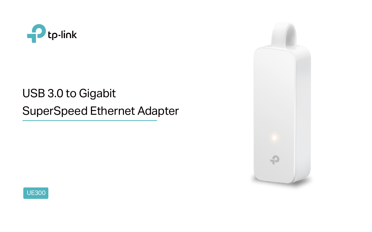

# USB 3.0 to Gigabit SuperSpeed Ethernet Adapter



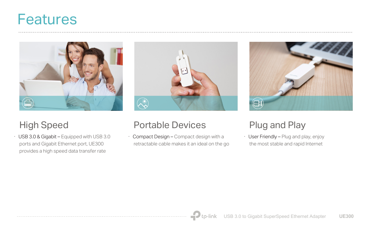# Features



· USB 3.0 & Gigabit – Equipped with USB 3.0 ports and Gigabit Ethernet port, UE300 provides a high speed data transfer rate



## High Speed Portable Devices Plug and Play

· Compact Design – Compact design with a retractable cable makes it an ideal on the go





· User Friendly – Plug and play, enjoy the most stable and rapid Internet